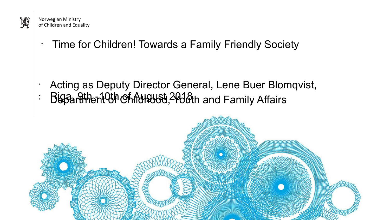

Norwegian Ministry of Children and Equality

Time for Children! Towards a Family Friendly Society

- Acting as Deputy Director General, Lene Buer Blomqvist,
- $\therefore$  Biggarithent  $Q$ th  $Q$ fint  $d$ ugust  $A$   $A$ ugust and Family Affairs

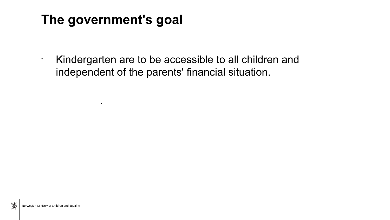# **The government's goal**

.

• Kindergarten are to be accessible to all children and independent of the parents' financial situation.

X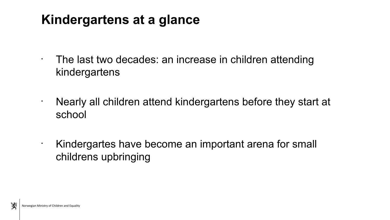### **Kindergartens at a glance**

- $\cdot$  The last two decades: an increase in children attending kindergartens
- Nearly all children attend kindergartens before they start at school

• Kindergartes have become an important arena for small childrens upbringing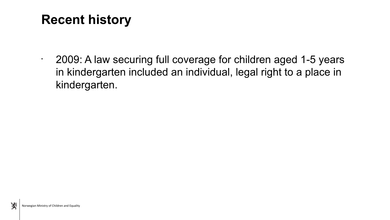## **Recent history**

• 2009: A law securing full coverage for children aged 1-5 years in kindergarten included an individual, legal right to a place in kindergarten.

溪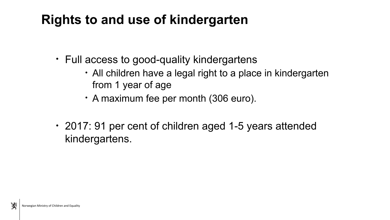### **Rights to and use of kindergarten**

- Full access to good-quality kindergartens
	- All children have a legal right to a place in kindergarten from 1 year of age
	- A maximum fee per month (306 euro).
- 2017: 91 per cent of children aged 1-5 years attended kindergartens.